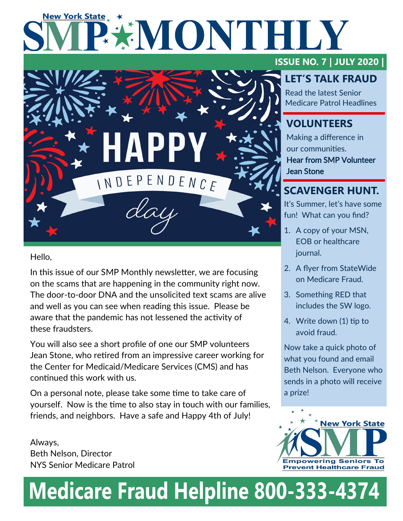# **New York State EXIMONTHILY**



Hello,

In this issue of our SMP Monthly newsletter, we are focusing on the scams that are happening in the community right now. The door-to-door DNA and the unsolicited text scams are alive and well as you can see when reading this issue. Please be aware that the pandemic has not lessened the activity of these fraudsters.

You will also see a short profile of one our SMP volunteers Jean Stone, who retired from an impressive career working for the Center for Medicaid/Medicare Services (CMS) and has continued this work with us.

On a personal note, please take some time to take care of yourself. Now is the time to also stay in touch with our families, friends, and neighbors. Have a safe and Happy 4th of July!

Always, Beth Nelson, Director NYS Senior Medicare Patrol

# **ISSUE NO. 7 | JULY 2020 |**

# **LET'S TALK FRAUD**

Read the latest Senior Medicare Patrol Headlines

# **VOLUNTEERS**

Making a difference in our communities. Hear from SMP Volunteer Jean Stone

# **SCAVENGER HUNT.**

It's Summer, let's have some fun! What can you find?

- 1. A copy of your MSN, EOB or healthcare journal.
- 2. A flyer from StateWide on Medicare Fraud.
- 3. Something RED that includes the SW logo.
- 4. Write down (1) tip to avoid fraud.

Now take a quick photo of what you found and email Beth Nelson. Everyone who sends in a photo will receive a prize!



# **Medicare Fraud Helpline 800-333-4374**